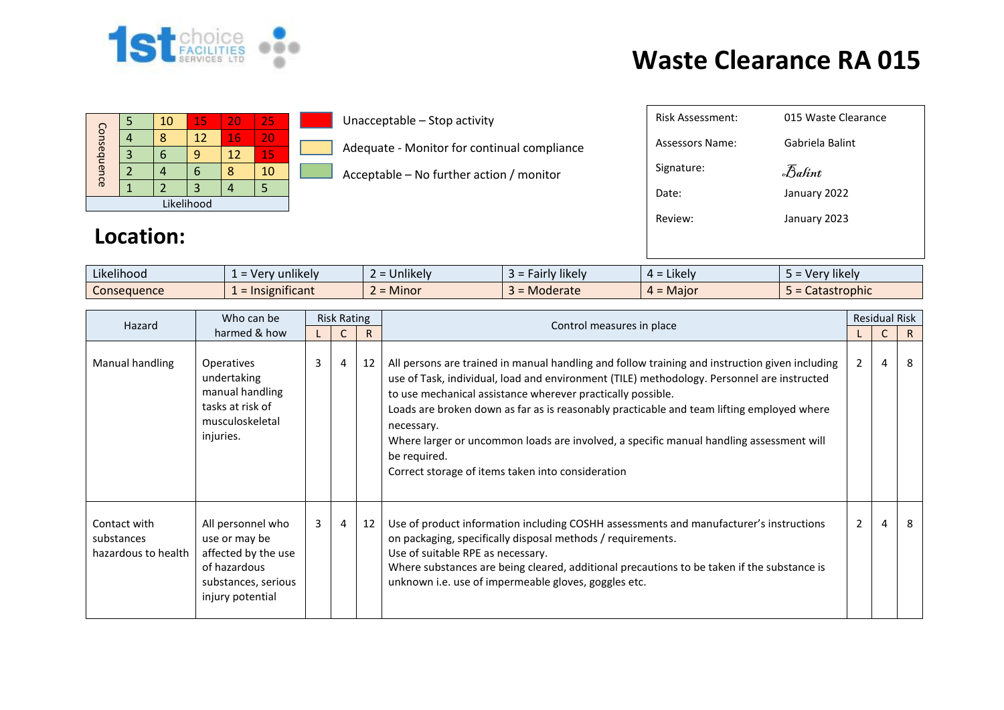

## **Waste Clearance RA 015**

| Consequence |  | 10 | 15 | 20 | 25 |  |  |
|-------------|--|----|----|----|----|--|--|
|             |  |    | 12 | 16 | 20 |  |  |
|             |  |    |    | 12 | 15 |  |  |
|             |  |    |    |    | 10 |  |  |
|             |  |    |    |    |    |  |  |
| Likelihood  |  |    |    |    |    |  |  |

**Location:** 

Unacceptable – Stop activity

Adequate - Monitor for continual compliance

Acceptable – No further action / monitor

## Risk Assessment: 015 Waste clearance Clearance Assessors Name: Gabriela Balint Signature: Date: January 2022 Review: January 2023 Balint

| Likelihood  | unlikely<br>$\sqrt{2}$<br>$\mathbf{v}$<br>- 61 | Jnlikely<br>--                    | <b>likely</b><br>airiv<br>$\rightarrow$ | $\cdot$ .<br><b>Likely</b><br>ட | $\cdots$<br>rv likel <sup>,</sup><br>- Ver |
|-------------|------------------------------------------------|-----------------------------------|-----------------------------------------|---------------------------------|--------------------------------------------|
| Consequence | <u>\ificant</u><br>"שנו                        | Minor<br>$\overline{\phantom{0}}$ | Moderate                                | - Major                         | Catastrophic                               |

| Hazard                                            | Who can be                                                                                                           | <b>Risk Rating</b> |                |    |                                                                                                                                                                                                                                                                                                                                                                                                                                                                                                                                        | <b>Residual Risk</b> |                |    |  |
|---------------------------------------------------|----------------------------------------------------------------------------------------------------------------------|--------------------|----------------|----|----------------------------------------------------------------------------------------------------------------------------------------------------------------------------------------------------------------------------------------------------------------------------------------------------------------------------------------------------------------------------------------------------------------------------------------------------------------------------------------------------------------------------------------|----------------------|----------------|----|--|
|                                                   | harmed & how                                                                                                         |                    |                | R  | Control measures in place                                                                                                                                                                                                                                                                                                                                                                                                                                                                                                              |                      | $\mathsf{C}$   | R. |  |
| Manual handling                                   | <b>Operatives</b><br>undertaking<br>manual handling<br>tasks at risk of<br>musculoskeletal<br>injuries.              | 3                  | 4              | 12 | All persons are trained in manual handling and follow training and instruction given including<br>use of Task, individual, load and environment (TILE) methodology. Personnel are instructed<br>to use mechanical assistance wherever practically possible.<br>Loads are broken down as far as is reasonably practicable and team lifting employed where<br>necessary.<br>Where larger or uncommon loads are involved, a specific manual handling assessment will<br>be required.<br>Correct storage of items taken into consideration | $\overline{2}$       | $\overline{4}$ | 8  |  |
| Contact with<br>substances<br>hazardous to health | All personnel who<br>use or may be<br>affected by the use<br>of hazardous<br>substances, serious<br>injury potential | 3                  | $\overline{4}$ | 12 | Use of product information including COSHH assessments and manufacturer's instructions<br>on packaging, specifically disposal methods / requirements.<br>Use of suitable RPE as necessary.<br>Where substances are being cleared, additional precautions to be taken if the substance is<br>unknown i.e. use of impermeable gloves, goggles etc.                                                                                                                                                                                       | $\overline{2}$       | $\overline{4}$ | 8  |  |